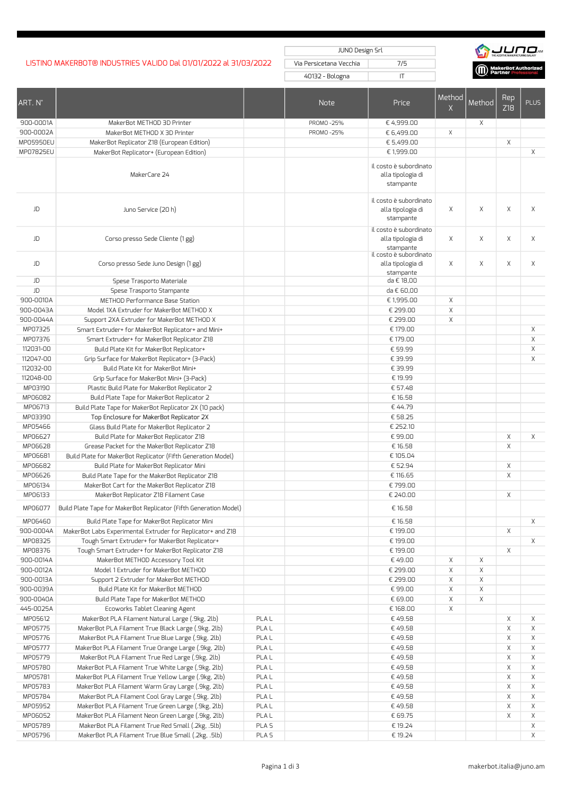## LISTINO MAKERBOT® INDUSTRIES VALIDO Dal 01/01/2022 al 31/03/2022 Via Persicetana Vecchia 7/5

JUNO Design Srl

40132 - Bologna IT



| ART. N°            |                                                                                                            |                  | <b>Note</b> | Price                                                    | Method<br>X | Method | Rep<br>Z18  | <b>PLUS</b> |
|--------------------|------------------------------------------------------------------------------------------------------------|------------------|-------------|----------------------------------------------------------|-------------|--------|-------------|-------------|
| 900-0001A          | MakerBot METHOD 3D Printer                                                                                 |                  | PROMO-25%   | € 4,999.00                                               |             | X      |             |             |
| 900-0002A          | MakerBot METHOD X 3D Printer                                                                               |                  | PROMO-25%   | € 6,499.00                                               | X           |        |             |             |
| MP05950EU          | MakerBot Replicator Z18 (European Edition)                                                                 |                  |             | € 5,499.00                                               |             |        | Χ           |             |
| MP07825EU          | MakerBot Replicator+ (European Edition)                                                                    |                  |             | € 1,999.00                                               |             |        |             | X           |
|                    |                                                                                                            |                  |             |                                                          |             |        |             |             |
|                    | MakerCare 24                                                                                               |                  |             | il costo è subordinato<br>alla tipologia di<br>stampante |             |        |             |             |
|                    |                                                                                                            |                  |             |                                                          |             |        |             |             |
| JD                 | Juno Service (20 h)                                                                                        |                  |             | il costo è subordinato<br>alla tipologia di<br>stampante | X           | X      | X           | Χ           |
| JD                 | Corso presso Sede Cliente (1 gg)                                                                           |                  |             | il costo è subordinato<br>alla tipologia di<br>stampante | X           | X      | X           | Χ           |
| JD                 | Corso presso Sede Juno Design (1 gg)                                                                       |                  |             | il costo è subordinato<br>alla tipologia di<br>stampante | X           | X      | X           | Χ           |
| JD                 | Spese Trasporto Materiale                                                                                  |                  |             | da € 18,00                                               |             |        |             |             |
| JD                 | Spese Trasporto Stampante                                                                                  |                  |             | da € 60,00                                               |             |        |             |             |
| 900-0010A          | METHOD Performance Base Station                                                                            |                  |             | € 1,995.00                                               | X           |        |             |             |
| 900-0043A          | Model 1XA Extruder for MakerBot METHOD X                                                                   |                  |             | € 299.00                                                 | Χ           |        |             |             |
| 900-0044A          | Support 2XA Extruder for MakerBot METHOD X                                                                 |                  |             | € 299.00                                                 | $\mathsf X$ |        |             |             |
| MP07325            | Smart Extruder+ for MakerBot Replicator+ and Mini+                                                         |                  |             | € 179.00                                                 |             |        |             | Χ           |
| MP07376            | Smart Extruder+ for MakerBot Replicator Z18                                                                |                  |             | € 179.00                                                 |             |        |             | Χ           |
| 112031-00          | Build Plate Kit for MakerBot Replicator+                                                                   |                  |             | € 59.99                                                  |             |        |             | Χ           |
| 112047-00          | Grip Surface for MakerBot Replicator+ (3-Pack)                                                             |                  |             | € 39.99                                                  |             |        |             | Χ           |
| 112032-00          | Build Plate Kit for MakerBot Mini+                                                                         |                  |             | € 39.99                                                  |             |        |             |             |
| 112048-00          | Grip Surface for MakerBot Mini+ (3-Pack)                                                                   |                  |             | € 19.99                                                  |             |        |             |             |
| MP03190            | Plastic Build Plate for MakerBot Replicator 2                                                              |                  |             | € 57.48                                                  |             |        |             |             |
| MP06082            | Build Plate Tape for MakerBot Replicator 2                                                                 |                  |             | € 16.58                                                  |             |        |             |             |
| MP06713            | Build Plate Tape for MakerBot Replicator 2X (10 pack)                                                      |                  |             | €44.79                                                   |             |        |             |             |
| MP03390            | Top Enclosure for MakerBot Replicator 2X                                                                   |                  |             | € 58.25                                                  |             |        |             |             |
| MP05466            | Glass Build Plate for MakerBot Replicator 2                                                                |                  |             | € 252.10                                                 |             |        |             |             |
| MP06627            | Build Plate for MakerBot Replicator Z18                                                                    |                  |             | €99.00                                                   |             |        | Χ           | X           |
| MP06628            | Grease Packet for the MakerBot Replicator Z18                                                              |                  |             | € 16.58                                                  |             |        | Χ           |             |
| MP06681            | Build Plate for MakerBot Replicator (Fifth Generation Model)                                               |                  |             | € 105.04                                                 |             |        |             |             |
| MP06682            | Build Plate for MakerBot Replicator Mini                                                                   |                  |             | € 52.94                                                  |             |        | Χ           |             |
| MP06626            | Build Plate Tape for the MakerBot Replicator Z18                                                           |                  |             | € 116.65                                                 |             |        | Χ           |             |
| MP06134<br>MP06133 | MakerBot Cart for the MakerBot Replicator Z18                                                              |                  |             | €799.00                                                  |             |        |             |             |
| MP06077            | MakerBot Replicator Z18 Filament Case<br>Build Plate Tape for MakerBot Replicator (Fifth Generation Model) |                  |             | € 240.00<br>€ 16.58                                      |             |        | Χ           |             |
| MP06460            | Build Plate Tape for MakerBot Replicator Mini                                                              |                  |             | € 16.58                                                  |             |        |             | $\times$    |
| 900-0004A          | MakerBot Labs Experimental Extruder for Replicator+ and Z18                                                |                  |             | € 199.00                                                 |             |        | Χ           |             |
| MP08325            | Tough Smart Extruder+ for MakerBot Replicator+                                                             |                  |             | € 199.00                                                 |             |        |             | $\times$    |
| MP08376            | Tough Smart Extruder+ for MakerBot Replicator Z18                                                          |                  |             | € 199.00                                                 |             |        | X           |             |
| 900-0014A          | MakerBot METHOD Accessory Tool Kit                                                                         |                  |             | €49.00                                                   | Χ           | Χ      |             |             |
| 900-0012A          | Model 1 Extruder for MakerBot METHOD                                                                       |                  |             | € 299.00                                                 | Χ           | Χ      |             |             |
| 900-0013A          | Support 2 Extruder for MakerBot METHOD                                                                     |                  |             | € 299.00                                                 | Χ           | Χ      |             |             |
| 900-0039A          | Build Plate Kit for MakerBot METHOD                                                                        |                  |             | €99.00                                                   | Χ           | Χ      |             |             |
| 900-0040A          | Build Plate Tape for MakerBot METHOD                                                                       |                  |             | € 69.00                                                  | Χ           | Χ      |             |             |
| 445-0025A          | Ecoworks Tablet Cleaning Agent                                                                             |                  |             | € 168.00                                                 | Χ           |        |             |             |
| MP05612            | MakerBot PLA Filament Natural Large (.9kg, 2lb)                                                            | PLA <sub>L</sub> |             | €49.58                                                   |             |        | Χ           | Χ           |
| MP05775            | MakerBot PLA Filament True Black Large (.9kg, 2lb)                                                         | <b>PLAL</b>      |             | €49.58                                                   |             |        | $\mathsf X$ | Χ           |
| MP05776            | MakerBot PLA Filament True Blue Large (.9kg, 2lb)                                                          | PLA <sub>L</sub> |             | €49.58                                                   |             |        | Χ           | Χ           |
| MP05777            | MakerBot PLA Filament True Orange Large (.9kg, 2lb)                                                        | PLA <sub>L</sub> |             | €49.58                                                   |             |        | Χ           | Χ           |
| MP05779            | MakerBot PLA Filament True Red Large (.9kg, 2lb)                                                           | PLA <sub>L</sub> |             | €49.58                                                   |             |        | Χ           | Χ           |
| MP05780            | MakerBot PLA Filament True White Large (.9kg, 2lb)                                                         | PLA <sub>L</sub> |             | €49.58                                                   |             |        | X           | Χ           |
| MP05781            | MakerBot PLA Filament True Yellow Large (.9kg, 2lb)                                                        | PLA <sub>L</sub> |             | € 49.58                                                  |             |        | Χ           | Χ           |
| MP05783            | MakerBot PLA Filament Warm Gray Large (.9kg, 2lb)                                                          | PLA <sub>L</sub> |             | €49.58                                                   |             |        | Χ           | Χ           |
| MP05784            | MakerBot PLA Filament Cool Gray Large (.9kg, 2lb)                                                          | PLA <sub>L</sub> |             | €49.58                                                   |             |        | Χ           | Χ           |
| MP05952            | MakerBot PLA Filament True Green Large (.9kg, 2lb)                                                         | PLA <sub>L</sub> |             | €49.58                                                   |             |        | Χ           | Χ           |
| MP06052            | MakerBot PLA Filament Neon Green Large (.9kg, 2lb)                                                         | PLA <sub>L</sub> |             | € 69.75                                                  |             |        | Χ           | Χ           |
| MP05789            | MakerBot PLA Filament True Red Small (.2kg, .5lb)                                                          | PLA <sub>S</sub> |             | € 19.24                                                  |             |        |             | Χ           |
| MP05796            | MakerBot PLA Filament True Blue Small (.2kg, .5lb)                                                         | PLA <sub>5</sub> |             | € 19.24                                                  |             |        |             | X           |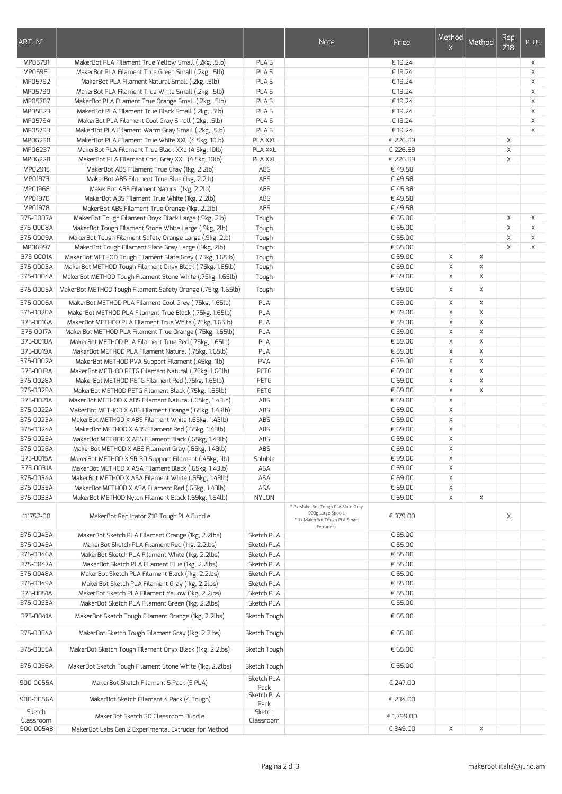| ART. N°                |                                                                                                                   |                             | Note                                                                                                  | Price               | Method<br>X | Method      | Rep<br>Z18  | <b>PLUS</b> |
|------------------------|-------------------------------------------------------------------------------------------------------------------|-----------------------------|-------------------------------------------------------------------------------------------------------|---------------------|-------------|-------------|-------------|-------------|
| MP05791                | MakerBot PLA Filament True Yellow Small (.2kg, .5lb)                                                              | PLA <sub>S</sub>            |                                                                                                       | € 19.24             |             |             |             | Χ           |
| MP05951                | MakerBot PLA Filament True Green Small (.2kg, .5lb)                                                               | PLA <sub>S</sub>            |                                                                                                       | € 19.24             |             |             |             | X           |
| MP05792                | MakerBot PLA Filament Natural Small (.2kg, .5lb)                                                                  | PLA <sub>S</sub>            |                                                                                                       | € 19.24             |             |             |             | X           |
| MP05790                | MakerBot PLA Filament True White Small (.2kg, .5lb)                                                               | PLA <sub>S</sub>            |                                                                                                       | € 19.24             |             |             |             | X           |
| MP05787                | MakerBot PLA Filament True Orange Small (.2kg, .5lb)                                                              | PLA <sub>S</sub>            |                                                                                                       | € 19.24             |             |             |             | Χ           |
| MP05823                | MakerBot PLA Filament True Black Small (.2kg, .5lb)                                                               | PLA <sub>5</sub>            |                                                                                                       | € 19.24             |             |             |             | X           |
| MP05794                | MakerBot PLA Filament Cool Gray Small (.2kg, .5lb)                                                                | PLA <sub>S</sub>            |                                                                                                       | € 19.24             |             |             |             | X           |
| MP05793<br>MP06238     | MakerBot PLA Filament Warm Gray Small (.2kg, .5lb)<br>MakerBot PLA Filament True White XXL (4.5kg, 10lb)          | PLA <sub>S</sub><br>PLA XXL |                                                                                                       | € 19.24<br>€ 226.89 |             |             | X           | X           |
| MP06237                | MakerBot PLA Filament True Black XXL (4.5kg, 10lb)                                                                | <b>PLA XXL</b>              |                                                                                                       | € 226.89            |             |             | $\mathsf X$ |             |
| MP06228                | MakerBot PLA Filament Cool Gray XXL (4.5kg, 10lb)                                                                 | PLA XXL                     |                                                                                                       | € 226.89            |             |             | Χ           |             |
| MP02915                | MakerBot ABS Filament True Gray (1kg, 2.2lb)                                                                      | ABS                         |                                                                                                       | €49.58              |             |             |             |             |
| MP01973                | MakerBot ABS Filament True Blue (1kg, 2.2lb)                                                                      | AB <sub>5</sub>             |                                                                                                       | €49.58              |             |             |             |             |
| MP01968                | MakerBot ABS Filament Natural (1kg, 2.2lb)                                                                        | AB <sub>5</sub>             |                                                                                                       | €45.38              |             |             |             |             |
| MP01970                | MakerBot ABS Filament True White (1kg, 2.2lb)                                                                     | AB <sub>5</sub>             |                                                                                                       | €49.58              |             |             |             |             |
| MP01978                | MakerBot ABS Filament True Orange (1kg, 2.2lb)                                                                    | <b>ABS</b>                  |                                                                                                       | €49.58              |             |             |             |             |
| 375-0007A              | MakerBot Tough Filament Onyx Black Large (.9kg, 2lb)                                                              | Tough                       |                                                                                                       | € 65.00             |             |             | X           | X           |
| 375-0008A              | MakerBot Tough Filament Stone White Large (.9kg, 2lb)                                                             | Tough                       |                                                                                                       | € 65.00             |             |             | Χ           | X           |
| 375-0009A              | MakerBot Tough Filament Safety Orange Large (.9kg, 2lb)                                                           | Tough                       |                                                                                                       | € 65.00             |             |             | X           | X           |
| MP06997                | MakerBot Tough Filament Slate Gray Large (.9kg, 2lb)                                                              | Tough                       |                                                                                                       | € 65.00             |             |             | Χ           | X           |
| 375-0001A              | MakerBot METHOD Tough Filament Slate Grey (.75kg, 1.65lb)                                                         | Tough                       |                                                                                                       | € 69.00             | Χ           | X           |             |             |
| 375-0003A<br>375-0004A | MakerBot METHOD Tough Filament Onyx Black (.75kg, 1.65lb)                                                         | Tough                       |                                                                                                       | € 69.00             | Χ<br>X      | Χ           |             |             |
|                        | MakerBot METHOD Tough Filament Stone White (.75kg, 1.65lb)                                                        | Tough                       |                                                                                                       | € 69.00             |             | Χ           |             |             |
| 375-0005A              | MakerBot METHOD Tough Filament Safety Orange (.75kg, 1.65lb)                                                      | Tough                       |                                                                                                       | € 69.00             | X           | Χ           |             |             |
| 375-0006A<br>375-0020A | MakerBot METHOD PLA Filament Cool Grey (.75kg, 1.65lb)<br>MakerBot METHOD PLA Filament True Black (.75kg, 1.65lb) | PLA<br>PLA                  |                                                                                                       | € 59.00<br>€ 59.00  | X<br>X      | X<br>X      |             |             |
| 375-0016A              | MakerBot METHOD PLA Filament True White (.75kg, 1.65lb)                                                           | PLA                         |                                                                                                       | € 59.00             | $\mathsf X$ | $\mathsf X$ |             |             |
| 375-0017A              | MakerBot METHOD PLA Filament True Orange (.75kg, 1.65lb)                                                          | PLA                         |                                                                                                       | € 59.00             | X           | X           |             |             |
| 375-0018A              | MakerBot METHOD PLA Filament True Red (.75kg, 1.65lb)                                                             | PLA                         |                                                                                                       | € 59.00             | X           | X           |             |             |
| 375-0019A              | MakerBot METHOD PLA Filament Natural (.75kg, 1.65lb)                                                              | PLA                         |                                                                                                       | € 59.00             | X           | Χ           |             |             |
| 375-0002A              | MakerBot METHOD PVA Support Filament (.45kg, 1lb)                                                                 | <b>PVA</b>                  |                                                                                                       | €79.00              | X           | X           |             |             |
| 375-0013A              | MakerBot METHOD PETG Filament Natural (.75kg, 1.65lb)                                                             | PETG                        |                                                                                                       | € 69.00             | X           | X           |             |             |
| 375-0028A              | MakerBot METHOD PETG Filament Red (.75kg, 1.65lb)                                                                 | PETG                        |                                                                                                       | € 69.00             | X           | Χ           |             |             |
| 375-0029A              | MakerBot METHOD PETG Filament Black (.75kg, 1.65lb)                                                               | PETG                        |                                                                                                       | € 69.00             | $\mathsf X$ | X           |             |             |
| 375-0021A              | MakerBot METHOD X ABS Filament Natural (.65kg, 1.43lb)                                                            | AB <sub>5</sub>             |                                                                                                       | € 69.00             | $\mathsf X$ |             |             |             |
| 375-0022A              | MakerBot METHOD X ABS Filament Orange (.65kg, 1.43lb)                                                             | ABS                         |                                                                                                       | € 69.00             | $\mathsf X$ |             |             |             |
| 375-0023A              | MakerBot METHOD X ABS Filament White (.65kg, 1.43lb)                                                              | AB <sub>5</sub>             |                                                                                                       | € 69.00             | Χ           |             |             |             |
| 375-0024A              | MakerBot METHOD X ABS Filament Red (.65kg, 1.43lb)                                                                | ABS                         |                                                                                                       | € 69.00             | $\mathsf X$ |             |             |             |
| 375-0025A              | MakerBot METHOD X ABS Filament Black (.65kg, 1.43lb)                                                              | AB <sub>5</sub>             |                                                                                                       | € 69.00             | Χ           |             |             |             |
| 375-0026A<br>375-0015A | MakerBot METHOD X ABS Filament Gray (.65kg, 1.43lb)                                                               | ABS                         |                                                                                                       | € 69.00             | Χ           |             |             |             |
| 375-0031A              | MakerBot METHOD X SR-30 Support Filament (.45kg, 1lb)<br>MakerBot METHOD X ASA Filament Black (.65kg, 1.43lb)     | Soluble<br><b>ASA</b>       |                                                                                                       | €99.00<br>€ 69.00   | X<br>Χ      |             |             |             |
| 375-0034A              | MakerBot METHOD X ASA Filament White (.65kg, 1.43lb)                                                              | <b>ASA</b>                  |                                                                                                       | € 69.00             | Χ           |             |             |             |
| 375-0035A              | MakerBot METHOD X ASA Filament Red (.65kg, 1.43lb)                                                                | <b>ASA</b>                  |                                                                                                       | € 69.00             | Χ           |             |             |             |
| 375-0033A              | MakerBot METHOD Nylon Filament Black (.69kg, 1.54lb)                                                              | <b>NYLON</b>                |                                                                                                       | € 69.00             | Χ           | Χ           |             |             |
| 111752-00              | MakerBot Replicator Z18 Tough PLA Bundle                                                                          |                             | * 3x MakerBot Tough PLA Slate Gray<br>900g Large Spools<br>* 1x MakerBot Tough PLA Smart<br>Extruder+ | € 379.00            |             |             | Χ           |             |
| 375-0043A              | MakerBot Sketch PLA Filament Orange (1kg, 2.2lbs)                                                                 | Sketch PLA                  |                                                                                                       | € 55.00             |             |             |             |             |
| 375-0045A              | MakerBot Sketch PLA Filament Red (1kg, 2.2lbs)                                                                    | Sketch PLA                  |                                                                                                       | € 55.00             |             |             |             |             |
| 375-0046A              | MakerBot Sketch PLA Filament White (1kg, 2.2lbs)                                                                  | Sketch PLA                  |                                                                                                       | € 55.00             |             |             |             |             |
| 375-0047A              | MakerBot Sketch PLA Filament Blue (1kg, 2.2lbs)                                                                   | Sketch PLA                  |                                                                                                       | € 55.00             |             |             |             |             |
| 375-0048A<br>375-0049A | MakerBot Sketch PLA Filament Black (1kg, 2.2lbs)<br>MakerBot Sketch PLA Filament Gray (1kg, 2.2lbs)               | Sketch PLA                  |                                                                                                       | € 55.00<br>€ 55.00  |             |             |             |             |
| 375-0051A              | MakerBot Sketch PLA Filament Yellow (1kg, 2.2lbs)                                                                 | Sketch PLA<br>Sketch PLA    |                                                                                                       | € 55.00             |             |             |             |             |
| 375-0053A              | MakerBot Sketch PLA Filament Green (1kg, 2.2lbs)                                                                  | Sketch PLA                  |                                                                                                       | € 55.00             |             |             |             |             |
| 375-0041A              | MakerBot Sketch Tough Filament Orange (1kg, 2.2lbs)                                                               | Sketch Tough                |                                                                                                       | € 65.00             |             |             |             |             |
| 375-0054A              | MakerBot Sketch Tough Filament Gray (1kg, 2.2lbs)                                                                 | Sketch Tough                |                                                                                                       | € 65.00             |             |             |             |             |
| 375-0055A              | MakerBot Sketch Tough Filament Onyx Black (1kg, 2.2lbs)                                                           | Sketch Tough                |                                                                                                       | € 65.00             |             |             |             |             |
| 375-0056A              | MakerBot Sketch Tough Filament Stone White (1kg, 2.2lbs)                                                          | Sketch Tough                |                                                                                                       | € 65.00             |             |             |             |             |
| 900-0055A              | MakerBot Sketch Filament 5 Pack (5 PLA)                                                                           | Sketch PLA                  |                                                                                                       | € 247.00            |             |             |             |             |
| 900-0056A              | MakerBot Sketch Filament 4 Pack (4 Tough)                                                                         | Pack<br>Sketch PLA          |                                                                                                       | € 234.00            |             |             |             |             |
| Sketch                 | MakerBot Sketch 3D Classroom Bundle                                                                               | Pack<br>Sketch              |                                                                                                       | € 1,799.00          |             |             |             |             |
| Classroom<br>900-0054B | MakerBot Labs Gen 2 Experimental Extruder for Method                                                              | Classroom                   |                                                                                                       | €349.00             | Χ           | Χ           |             |             |
|                        |                                                                                                                   |                             |                                                                                                       |                     |             |             |             |             |